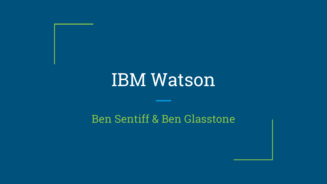# IBM Watson

### Ben Sentiff & Ben Glasstone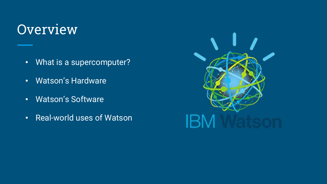### **Overview**

- What is a supercomputer?
- Watson's Hardware
- Watson's Software
- Real-world uses of Watson

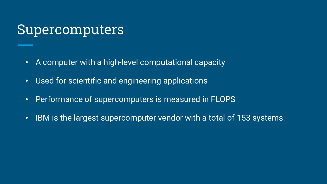### Supercomputers

- A computer with a high-level computational capacity
- Used for scientific and engineering applications
- Performance of supercomputers is measured in FLOPS
- IBM is the largest supercomputer vendor with a total of 153 systems.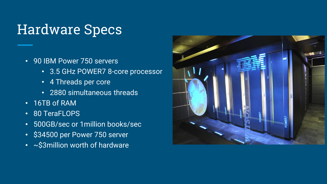### Hardware Specs

- 90 IBM Power 750 servers
	- 3.5 GHz POWER7 8-core processor
	- 4 Threads per core
	- 2880 simultaneous threads
- 16TB of RAM
- 80 TeraFLOPS
- 500GB/sec or 1million books/sec
- \$34500 per Power 750 server
- ~\$3million worth of hardware

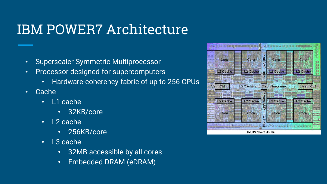### IBM POWER7 Architecture

- Superscaler Symmetric Multiprocessor
- Processor designed for supercomputers
	- Hardware-coherency fabric of up to 256 CPUs
- Cache
	- L1 cache
		- 32KB/core
	- L2 cache
		- 256KB/core
	- L3 cache
		- 32MB accessible by all cores
		- Embedded DRAM (eDRAM)

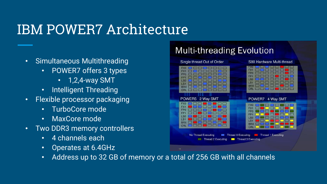### IBM POWER7 Architecture

- Simultaneous Multithreading
	- POWER7 offers 3 types
		- 1,2,4-way SMT
	- Intelligent Threading
- Flexible processor packaging
	- TurboCore mode
	- MaxCore mode
- Two DDR3 memory controllers
	- 4 channels each
	- Operates at 6.4GHz
	- Address up to 32 GB of memory or a total of 256 GB with all channels

### **Multi-threading Evolution**

#### Single thread Out of Order S80 Hardware Multi-thread <u>the first state</u> FX<sub>1</sub> LS<sub>1</sub> <u>re de la contrada de la contrada de la con</u> BRX **DEED** DE **BRX DEIDEI** CRI THE THE THEFT POWER5 2 Way SMT POWER7 4 Way SMT **is for the first** No Thread Executing Thread 0 Executing **Thread 1 Executing Thread 2 Executing Thread 3 Executing**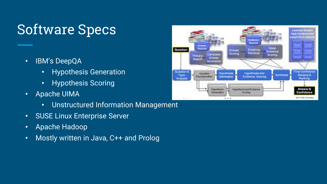### Software Specs

- IBM's DeepQA
	- Hypothesis Generation
	- Hypothesis Scoring
- Apache UIMA
	- Unstructured Information Management
- SUSE Linux Enterprise Server
- Apache Hadoop
- Mostly written in Java, C++ and Prolog

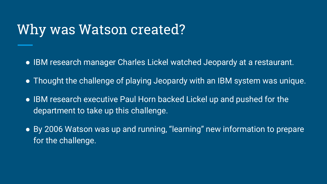### Why was Watson created?

- IBM research manager Charles Lickel watched Jeopardy at a restaurant.
- Thought the challenge of playing Jeopardy with an IBM system was unique.
- IBM research executive Paul Horn backed Lickel up and pushed for the department to take up this challenge.
- By 2006 Watson was up and running, "learning" new information to prepare for the challenge.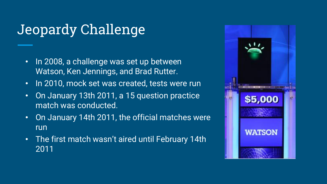## Jeopardy Challenge

- In 2008, a challenge was set up between Watson, Ken Jennings, and Brad Rutter.
- In 2010, mock set was created, tests were run
- On January 13th 2011, a 15 question practice match was conducted.
- On January 14th 2011, the official matches were run
- The first match wasn't aired until February 14th 2011

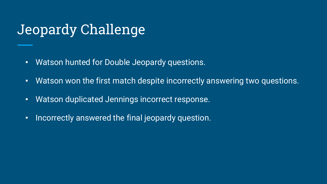### Jeopardy Challenge

- Watson hunted for Double Jeopardy questions.
- Watson won the first match despite incorrectly answering two questions.
- Watson duplicated Jennings incorrect response.
- Incorrectly answered the final jeopardy question.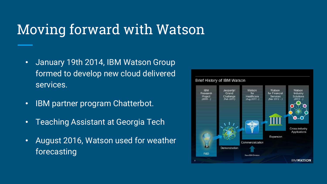### Moving forward with Watson

- January 19th 2014, IBM Watson Group formed to develop new cloud delivered services.
- IBM partner program Chatterbot.
- Teaching Assistant at Georgia Tech
- August 2016, Watson used for weather forecasting